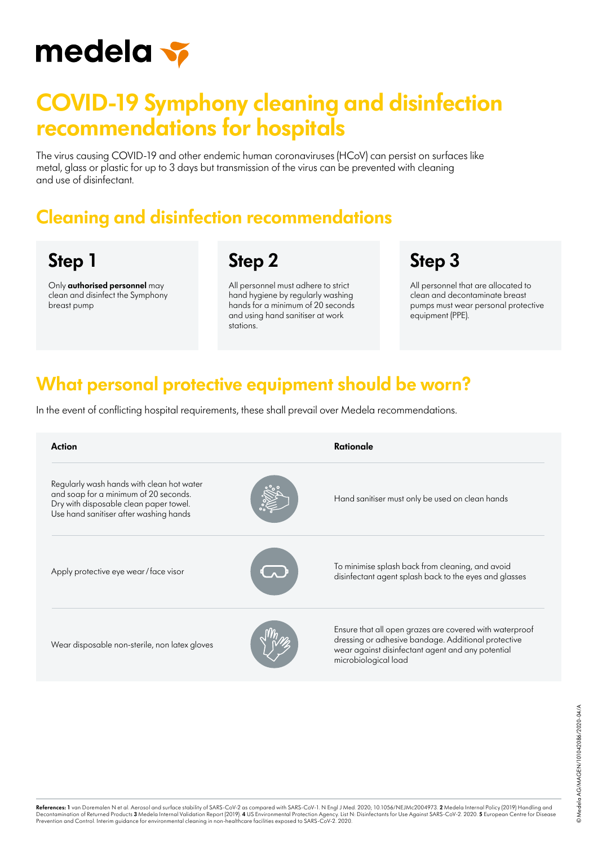

# **COVID-19 Symphony cleaning and disinfection recommendations for hospitals**

The virus causing COVID-19 and other endemic human coronaviruses (HCoV) can persist on surfaces like metal, glass or plastic for up to 3 days but transmission of the virus can be prevented with cleaning and use of disinfectant.

#### **Cleaning and disinfection recommendations**

### **Step 1**

Only **authorised personnel** may clean and disinfect the Symphony breast pump

**Step 2**

All personnel must adhere to strict hand hygiene by regularly washing hands for a minimum of 20 seconds and using hand sanitiser at work stations.

# **Step 3**

All personnel that are allocated to clean and decontaminate breast pumps must wear personal protective equipment (PPE).

#### **What personal protective equipment should be worn?**

In the event of conflicting hospital requirements, these shall prevail over Medela recommendations.

| <b>Action</b>                                                                                                                                                          | Rationale                                                                                                                                                                                   |
|------------------------------------------------------------------------------------------------------------------------------------------------------------------------|---------------------------------------------------------------------------------------------------------------------------------------------------------------------------------------------|
| Regularly wash hands with clean hot water<br>and soap for a minimum of 20 seconds.<br>Dry with disposable clean paper towel.<br>Use hand sanitiser after washing hands | Hand sanitiser must only be used on clean hands                                                                                                                                             |
| Apply protective eye wear/face visor                                                                                                                                   | To minimise splash back from cleaning, and avoid<br>disinfectant agent splash back to the eyes and glasses                                                                                  |
| Wear disposable non-sterile, non latex gloves                                                                                                                          | Ensure that all open grazes are covered with waterproof<br>dressing or adhesive bandage. Additional protective<br>wear against disinfectant agent and any potential<br>microbiological load |

**References: 1** van Doremalen N et al. Aerosol and surface stability of SARS-CoV-2 as compared with SARS-CoV-1. N Engl J Med. 2020; 10.1056/NEJMc2004973. **2** Medela Internal Policy (2019) Handling and ed and the State of State of State of State of State of State of State of State of State of State of State of State of State of State of State of State of State of State of State of State of State of State of State of St